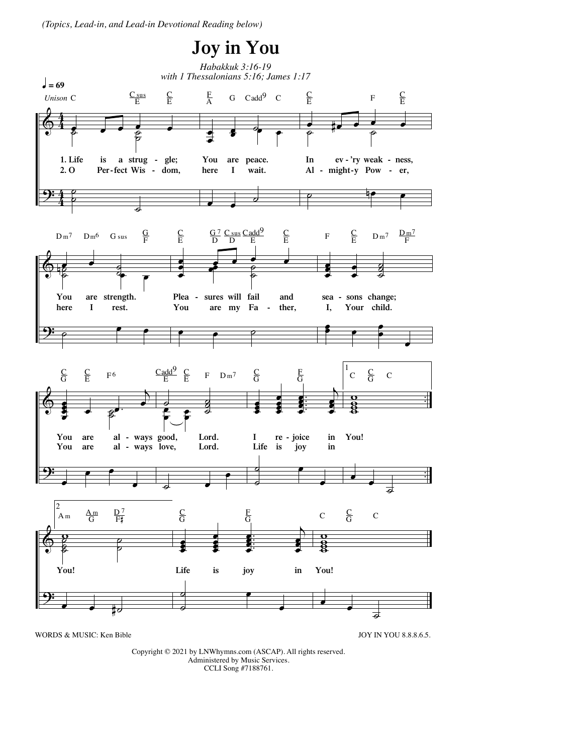*(Topics, Lead-in, and Lead-in Devotional Reading below)*



Copyright © 2021 by LNWhymns.com (ASCAP). All rights reserved. Administered by Music Services. CCLI Song #7188761.